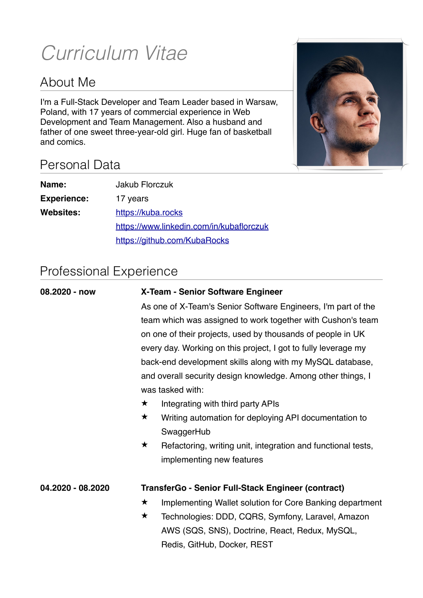# *Curriculum Vitae*

# About Me

I'm a Full-Stack Developer and Team Leader based in Warsaw, Poland, with 17 years of commercial experience in Web Development and Team Management. Also a husband and father of one sweet three-year-old girl. Huge fan of basketball and comics.



# Personal Data

| Name:              | Jakub Florczuk                           |
|--------------------|------------------------------------------|
| <b>Experience:</b> | 17 years                                 |
| <b>Websites:</b>   | https://kuba.rocks                       |
|                    | https://www.linkedin.com/in/kubaflorczuk |
|                    | https://github.com/KubaRocks             |

# Professional Experience

| on one of their projects, used by thousands of people in UK<br>every day. Working on this project, I got to fully leverage my<br>and overall security design knowledge. Among other things, I<br>was tasked with:<br>★<br>Integrating with third party APIs<br>$\bigstar$<br>Writing automation for deploying API documentation to<br>SwaggerHub<br>Refactoring, writing unit, integration and functional tests,<br>$\bigstar$<br>implementing new features |                                                               |  |  |  |  |
|-------------------------------------------------------------------------------------------------------------------------------------------------------------------------------------------------------------------------------------------------------------------------------------------------------------------------------------------------------------------------------------------------------------------------------------------------------------|---------------------------------------------------------------|--|--|--|--|
|                                                                                                                                                                                                                                                                                                                                                                                                                                                             | As one of X-Team's Senior Software Engineers, I'm part of the |  |  |  |  |
|                                                                                                                                                                                                                                                                                                                                                                                                                                                             | team which was assigned to work together with Cushon's team   |  |  |  |  |
|                                                                                                                                                                                                                                                                                                                                                                                                                                                             |                                                               |  |  |  |  |
|                                                                                                                                                                                                                                                                                                                                                                                                                                                             |                                                               |  |  |  |  |
|                                                                                                                                                                                                                                                                                                                                                                                                                                                             | back-end development skills along with my MySQL database,     |  |  |  |  |
|                                                                                                                                                                                                                                                                                                                                                                                                                                                             |                                                               |  |  |  |  |
|                                                                                                                                                                                                                                                                                                                                                                                                                                                             |                                                               |  |  |  |  |
|                                                                                                                                                                                                                                                                                                                                                                                                                                                             |                                                               |  |  |  |  |
|                                                                                                                                                                                                                                                                                                                                                                                                                                                             |                                                               |  |  |  |  |
|                                                                                                                                                                                                                                                                                                                                                                                                                                                             |                                                               |  |  |  |  |
|                                                                                                                                                                                                                                                                                                                                                                                                                                                             |                                                               |  |  |  |  |
|                                                                                                                                                                                                                                                                                                                                                                                                                                                             |                                                               |  |  |  |  |
| TransferGo - Senior Full-Stack Engineer (contract)<br>04.2020 - 08.2020                                                                                                                                                                                                                                                                                                                                                                                     |                                                               |  |  |  |  |
| $\bigstar$<br>Implementing Wallet solution for Core Banking department                                                                                                                                                                                                                                                                                                                                                                                      |                                                               |  |  |  |  |
| $\bigstar$<br>Technologies: DDD, CQRS, Symfony, Laravel, Amazon                                                                                                                                                                                                                                                                                                                                                                                             |                                                               |  |  |  |  |
| AWS (SQS, SNS), Doctrine, React, Redux, MySQL,                                                                                                                                                                                                                                                                                                                                                                                                              |                                                               |  |  |  |  |
| Redis, GitHub, Docker, REST                                                                                                                                                                                                                                                                                                                                                                                                                                 |                                                               |  |  |  |  |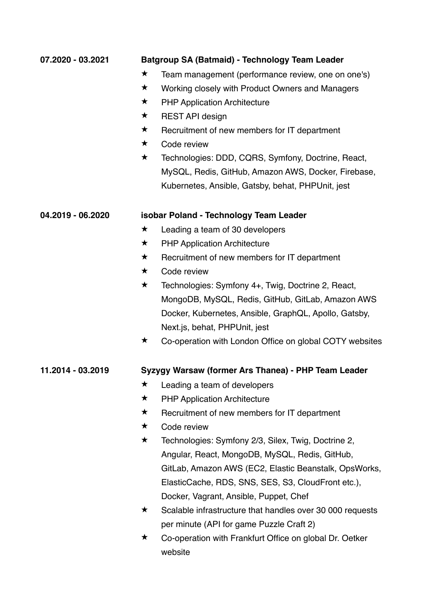| 07.2020 - 03.2021 |            | <b>Batgroup SA (Batmaid) - Technology Team Leader</b>     |
|-------------------|------------|-----------------------------------------------------------|
|                   | ★          | Team management (performance review, one on one's)        |
|                   | $\bigstar$ | Working closely with Product Owners and Managers          |
|                   | $\bigstar$ | <b>PHP Application Architecture</b>                       |
|                   | $\star$    | <b>REST API design</b>                                    |
|                   | $\bigstar$ | Recruitment of new members for IT department              |
|                   | $\bigstar$ | Code review                                               |
|                   | $\bigstar$ | Technologies: DDD, CQRS, Symfony, Doctrine, React,        |
|                   |            | MySQL, Redis, GitHub, Amazon AWS, Docker, Firebase,       |
|                   |            | Kubernetes, Ansible, Gatsby, behat, PHPUnit, jest         |
| 04.2019 - 06.2020 |            | isobar Poland - Technology Team Leader                    |
|                   | ★          | Leading a team of 30 developers                           |
|                   | ★          | <b>PHP Application Architecture</b>                       |
|                   | ★          | Recruitment of new members for IT department              |
|                   | $\bigstar$ | Code review                                               |
|                   | $\bigstar$ | Technologies: Symfony 4+, Twig, Doctrine 2, React,        |
|                   |            | MongoDB, MySQL, Redis, GitHub, GitLab, Amazon AWS         |
|                   |            | Docker, Kubernetes, Ansible, GraphQL, Apollo, Gatsby,     |
|                   |            | Next.js, behat, PHPUnit, jest                             |
|                   | $\star$    | Co-operation with London Office on global COTY websites   |
| 11.2014 - 03.2019 |            | Syzygy Warsaw (former Ars Thanea) - PHP Team Leader       |
|                   | ★          | Leading a team of developers                              |
|                   | $\bigstar$ | <b>PHP Application Architecture</b>                       |
|                   | $\bigstar$ | Recruitment of new members for IT department              |
|                   | $\bigstar$ | Code review                                               |
|                   | $\star$    | Technologies: Symfony 2/3, Silex, Twig, Doctrine 2,       |
|                   |            | Angular, React, MongoDB, MySQL, Redis, GitHub,            |
|                   |            | GitLab, Amazon AWS (EC2, Elastic Beanstalk, OpsWorks,     |
|                   |            | ElasticCache, RDS, SNS, SES, S3, CloudFront etc.),        |
|                   |            | Docker, Vagrant, Ansible, Puppet, Chef                    |
|                   | $\star$    | Scalable infrastructure that handles over 30 000 requests |
|                   |            | per minute (API for game Puzzle Craft 2)                  |
|                   | ★          | Co-operation with Frankfurt Office on global Dr. Oetker   |
|                   |            | website                                                   |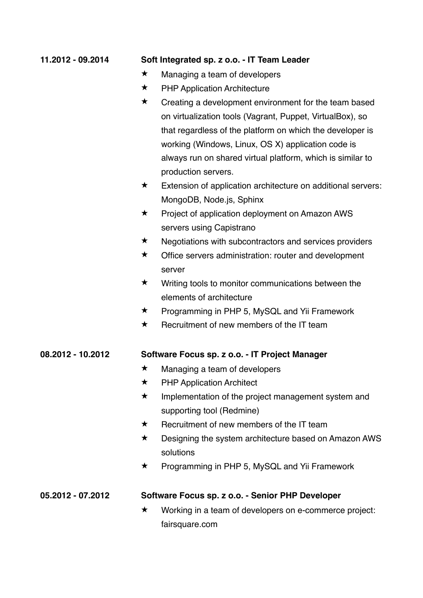| 11.2012 - 09.2014 |            | Soft Integrated sp. z o.o. - IT Team Leader                  |
|-------------------|------------|--------------------------------------------------------------|
|                   | $\bigstar$ | Managing a team of developers                                |
|                   | $\bigstar$ | <b>PHP Application Architecture</b>                          |
|                   | ★          | Creating a development environment for the team based        |
|                   |            | on virtualization tools (Vagrant, Puppet, VirtualBox), so    |
|                   |            | that regardless of the platform on which the developer is    |
|                   |            | working (Windows, Linux, OS X) application code is           |
|                   |            | always run on shared virtual platform, which is similar to   |
|                   |            | production servers.                                          |
|                   | $\bigstar$ | Extension of application architecture on additional servers: |
|                   |            | MongoDB, Node js, Sphinx                                     |
|                   | $\bigstar$ | Project of application deployment on Amazon AWS              |
|                   |            | servers using Capistrano                                     |
|                   | $\bigstar$ | Negotiations with subcontractors and services providers      |
|                   | $\bigstar$ | Office servers administration: router and development        |
|                   |            | server                                                       |
|                   | $\star$    | Writing tools to monitor communications between the          |
|                   |            | elements of architecture                                     |
|                   | $\bigstar$ | Programming in PHP 5, MySQL and Yii Framework                |
|                   | $\bigstar$ | Recruitment of new members of the IT team                    |
| 08.2012 - 10.2012 |            | Software Focus sp. z o.o. - IT Project Manager               |
|                   | ★          | Managing a team of developers                                |
|                   | ★          | <b>PHP Application Architect</b>                             |
|                   | $\bigstar$ | Implementation of the project management system and          |
|                   |            | supporting tool (Redmine)                                    |
|                   | $\bigstar$ | Recruitment of new members of the IT team                    |
|                   | $\bigstar$ | Designing the system architecture based on Amazon AWS        |
|                   |            | solutions                                                    |
|                   | ★          | Programming in PHP 5, MySQL and Yii Framework                |
| 05.2012 - 07.2012 |            | Software Focus sp. z o.o. - Senior PHP Developer             |
|                   | ★          | Working in a team of developers on e-commerce project:       |
|                   |            | fairsquare.com                                               |
|                   |            |                                                              |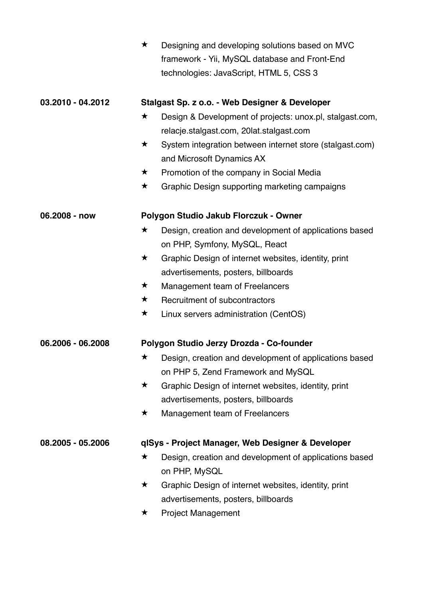|                   | $\bigstar$ | Designing and developing solutions based on MVC          |  |  |  |
|-------------------|------------|----------------------------------------------------------|--|--|--|
|                   |            | framework - Yii, MySQL database and Front-End            |  |  |  |
|                   |            | technologies: JavaScript, HTML 5, CSS 3                  |  |  |  |
|                   |            |                                                          |  |  |  |
| 03.2010 - 04.2012 |            | Stalgast Sp. z o.o. - Web Designer & Developer           |  |  |  |
|                   | $\bigstar$ | Design & Development of projects: unox.pl, stalgast.com, |  |  |  |
|                   |            | relacje.stalgast.com, 20lat.stalgast.com                 |  |  |  |
|                   | $\bigstar$ | System integration between internet store (stalgast.com) |  |  |  |
|                   |            | and Microsoft Dynamics AX                                |  |  |  |
|                   | $\bigstar$ | Promotion of the company in Social Media                 |  |  |  |
|                   | $\bigstar$ | Graphic Design supporting marketing campaigns            |  |  |  |
| 06.2008 - now     |            | Polygon Studio Jakub Florczuk - Owner                    |  |  |  |
|                   | $\bigstar$ | Design, creation and development of applications based   |  |  |  |
|                   |            | on PHP, Symfony, MySQL, React                            |  |  |  |
|                   | $\star$    | Graphic Design of internet websites, identity, print     |  |  |  |
|                   |            | advertisements, posters, billboards                      |  |  |  |
|                   | $\star$    | Management team of Freelancers                           |  |  |  |
|                   | $\star$    | Recruitment of subcontractors                            |  |  |  |
|                   | $\star$    | Linux servers administration (CentOS)                    |  |  |  |
| 06.2006 - 06.2008 |            | Polygon Studio Jerzy Drozda - Co-founder                 |  |  |  |
|                   | $\star$    | Design, creation and development of applications based   |  |  |  |
|                   |            | on PHP 5, Zend Framework and MySQL                       |  |  |  |
|                   | $\bigstar$ | Graphic Design of internet websites, identity, print     |  |  |  |
|                   |            | advertisements, posters, billboards                      |  |  |  |
|                   | $\star$    | Management team of Freelancers                           |  |  |  |
| 08.2005 - 05.2006 |            | qlSys - Project Manager, Web Designer & Developer        |  |  |  |
|                   | $\bigstar$ | Design, creation and development of applications based   |  |  |  |
|                   |            | on PHP, MySQL                                            |  |  |  |
|                   | $\bigstar$ | Graphic Design of internet websites, identity, print     |  |  |  |
|                   |            | advertisements, posters, billboards                      |  |  |  |
|                   | ★          | <b>Project Management</b>                                |  |  |  |
|                   |            |                                                          |  |  |  |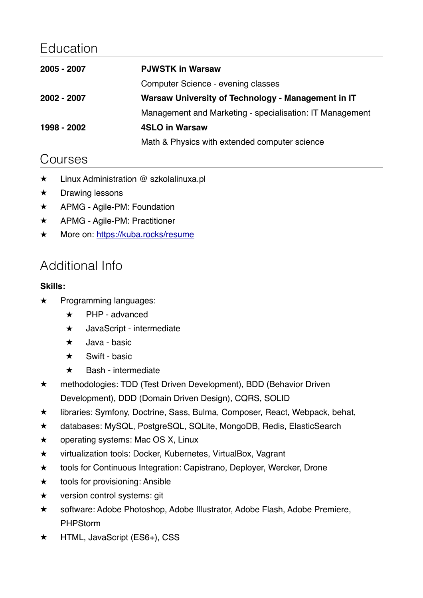# Education

| <b>PJWSTK in Warsaw</b>                                  |
|----------------------------------------------------------|
| Computer Science - evening classes                       |
| Warsaw University of Technology - Management in IT       |
| Management and Marketing - specialisation: IT Management |
| <b>4SLO in Warsaw</b>                                    |
| Math & Physics with extended computer science            |
|                                                          |

### Courses

- ★ Linux Administration @ szkolalinuxa.pl
- ★ Drawing lessons
- ★ APMG Agile-PM: Foundation
- ★ APMG Agile-PM: Practitioner
- ★ More on: <https://kuba.rocks/resume>

# Additional Info

### **Skills:**

- ★ Programming languages:
	- ★ PHP advanced
	- ★ JavaScript intermediate
	- ★ Java basic
	- $\star$  Swift basic
	- ★ Bash intermediate
- ★ methodologies: TDD (Test Driven Development), BDD (Behavior Driven Development), DDD (Domain Driven Design), CQRS, SOLID
- ★ libraries: Symfony, Doctrine, Sass, Bulma, Composer, React, Webpack, behat,
- ★ databases: MySQL, PostgreSQL, SQLite, MongoDB, Redis, ElasticSearch
- ★ operating systems: Mac OS X, Linux
- ★ virtualization tools: Docker, Kubernetes, VirtualBox, Vagrant
- ★ tools for Continuous Integration: Capistrano, Deployer, Wercker, Drone
- ★ tools for provisioning: Ansible
- ★ version control systems: git
- ★ software: Adobe Photoshop, Adobe Illustrator, Adobe Flash, Adobe Premiere, PHPStorm
- ★ HTML, JavaScript (ES6+), CSS